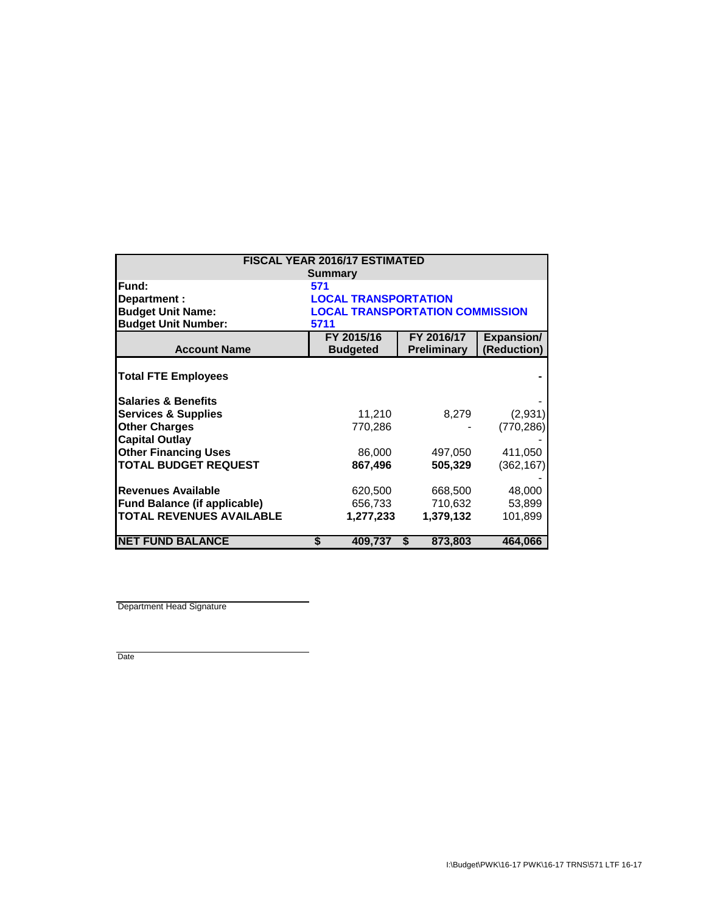| FISCAL YEAR 2016/17 ESTIMATED       |                                        |               |                   |  |  |  |
|-------------------------------------|----------------------------------------|---------------|-------------------|--|--|--|
| <b>Summary</b>                      |                                        |               |                   |  |  |  |
| Fund:                               | 571                                    |               |                   |  |  |  |
| Department :                        | <b>LOCAL TRANSPORTATION</b>            |               |                   |  |  |  |
| <b>Budget Unit Name:</b>            | <b>LOCAL TRANSPORTATION COMMISSION</b> |               |                   |  |  |  |
| <b>Budget Unit Number:</b>          | 5711                                   |               |                   |  |  |  |
|                                     | FY 2015/16                             | FY 2016/17    | <b>Expansion/</b> |  |  |  |
| <b>Account Name</b>                 | <b>Budgeted</b>                        | Preliminary   | (Reduction)       |  |  |  |
| <b>Total FTE Employees</b>          |                                        |               |                   |  |  |  |
| <b>Salaries &amp; Benefits</b>      |                                        |               |                   |  |  |  |
| <b>Services &amp; Supplies</b>      | 11,210                                 | 8,279         | (2,931)           |  |  |  |
| <b>Other Charges</b>                | 770,286                                |               | (770, 286)        |  |  |  |
| <b>Capital Outlay</b>               |                                        |               |                   |  |  |  |
| <b>Other Financing Uses</b>         | 86,000                                 | 497,050       | 411,050           |  |  |  |
| <b>TOTAL BUDGET REQUEST</b>         | 867,496                                | 505,329       | (362, 167)        |  |  |  |
|                                     |                                        |               |                   |  |  |  |
| <b>Revenues Available</b>           | 620,500                                | 668,500       | 48,000            |  |  |  |
| <b>Fund Balance (if applicable)</b> | 656,733                                | 710,632       | 53,899            |  |  |  |
| <b>TOTAL REVENUES AVAILABLE</b>     | 1,277,233                              | 1,379,132     | 101,899           |  |  |  |
|                                     |                                        |               |                   |  |  |  |
| <b>NET FUND BALANCE</b>             | 409,737<br>S                           | 873,803<br>\$ | 464,066           |  |  |  |

Department Head Signature

Date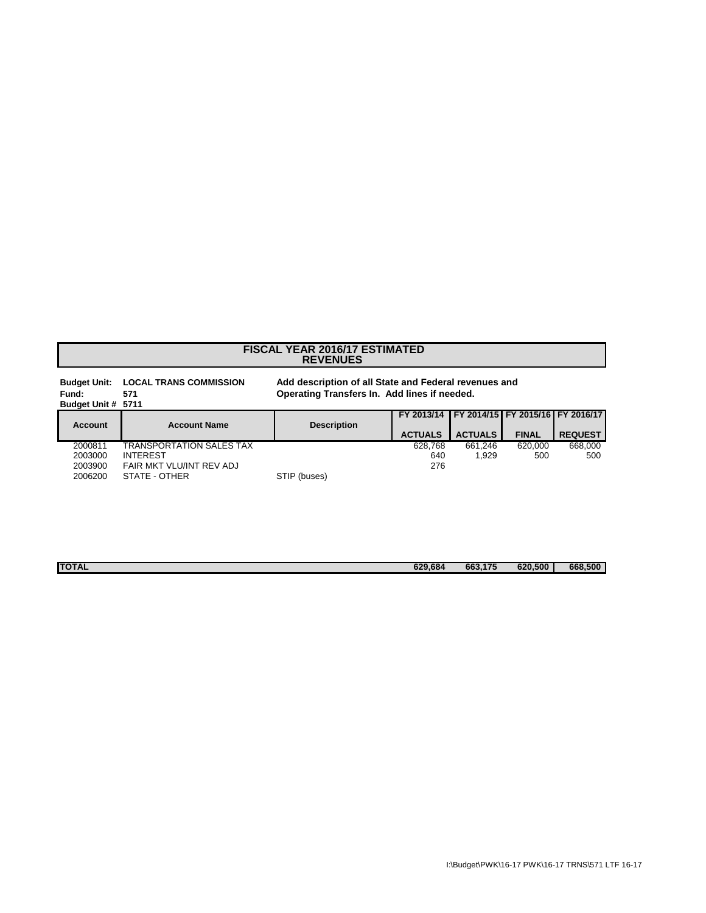## **REVENUES FISCAL YEAR 2016/17 ESTIMATED**

| <b>Budget Unit:</b><br>Fund:<br>Budget Unit # 5711 | <b>LOCAL TRANS COMMISSION</b><br>571 | Add description of all State and Federal revenues and<br>Operating Transfers In. Add lines if needed. |                |                |                                  |                |
|----------------------------------------------------|--------------------------------------|-------------------------------------------------------------------------------------------------------|----------------|----------------|----------------------------------|----------------|
| Account                                            | <b>Account Name</b>                  | <b>Description</b>                                                                                    | FY 2013/14     |                | FY 2014/15 FY 2015/16 FY 2016/17 |                |
|                                                    |                                      |                                                                                                       | <b>ACTUALS</b> | <b>ACTUALS</b> | <b>FINAL</b>                     | <b>REQUEST</b> |
| 2000811                                            | TRANSPORTATION SALES TAX             |                                                                                                       | 628.768        | 661.246        | 620.000                          | 668,000        |
| 2003000                                            | <b>INTEREST</b>                      |                                                                                                       | 640            | 1.929          | 500                              | 500            |
| 2003900                                            | FAIR MKT VLU/INT REV ADJ             |                                                                                                       | 276            |                |                                  |                |
| 2006200                                            | STATE - OTHER                        | STIP (buses)                                                                                          |                |                |                                  |                |

| <b>TOTAL</b> | 629,684 | 663,175 | 620.500 | 668.500 |
|--------------|---------|---------|---------|---------|
|              |         |         |         |         |